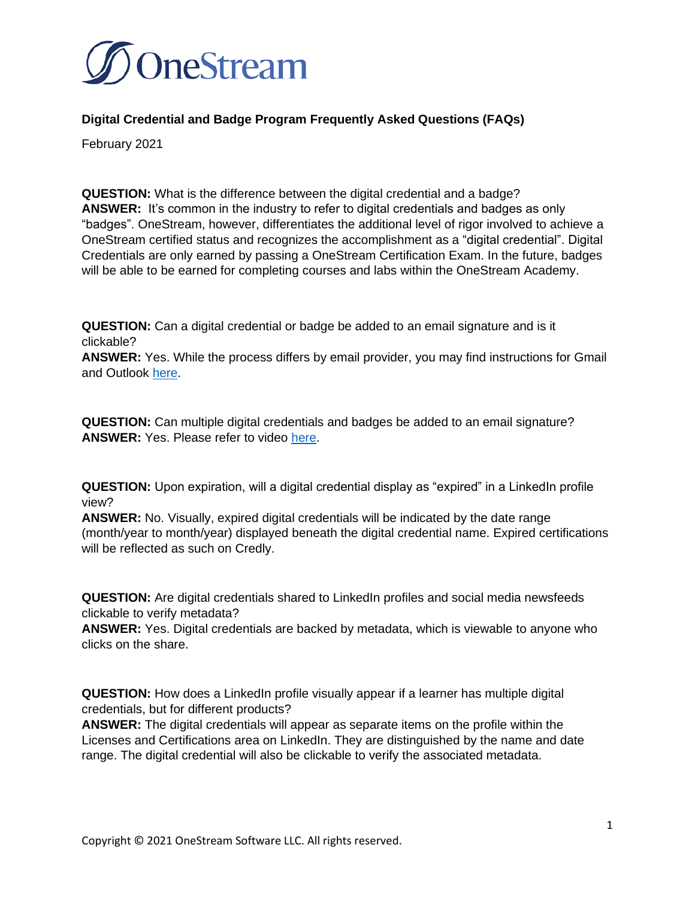

## **Digital Credential and Badge Program Frequently Asked Questions (FAQs)**

February 2021

**QUESTION:** What is the difference between the digital credential and a badge? **ANSWER:** It's common in the industry to refer to digital credentials and badges as only "badges". OneStream, however, differentiates the additional level of rigor involved to achieve a OneStream certified status and recognizes the accomplishment as a "digital credential". Digital Credentials are only earned by passing a OneStream Certification Exam. In the future, badges will be able to be earned for completing courses and labs within the OneStream Academy.

**QUESTION:** Can a digital credential or badge be added to an email signature and is it clickable?

**ANSWER:** Yes. While the process differs by email provider, you may find instructions for Gmail and Outlook [here.](https://support.youracclaim.com/hc/en-us/articles/360041543152-Video-Can-I-attach-my-badge-to-my-email-signature-)

**QUESTION:** Can multiple digital credentials and badges be added to an email signature? **ANSWER:** Yes. Please refer to video [here.](https://support.youracclaim.com/hc/en-us/articles/360041543152-Video-Can-I-attach-my-badge-to-my-email-signature-)

**QUESTION:** Upon expiration, will a digital credential display as "expired" in a LinkedIn profile view?

**ANSWER:** No. Visually, expired digital credentials will be indicated by the date range (month/year to month/year) displayed beneath the digital credential name. Expired certifications will be reflected as such on Credly.

**QUESTION:** Are digital credentials shared to LinkedIn profiles and social media newsfeeds clickable to verify metadata?

**ANSWER:** Yes. Digital credentials are backed by metadata, which is viewable to anyone who clicks on the share.

**QUESTION:** How does a LinkedIn profile visually appear if a learner has multiple digital credentials, but for different products?

**ANSWER:** The digital credentials will appear as separate items on the profile within the Licenses and Certifications area on LinkedIn. They are distinguished by the name and date range. The digital credential will also be clickable to verify the associated metadata.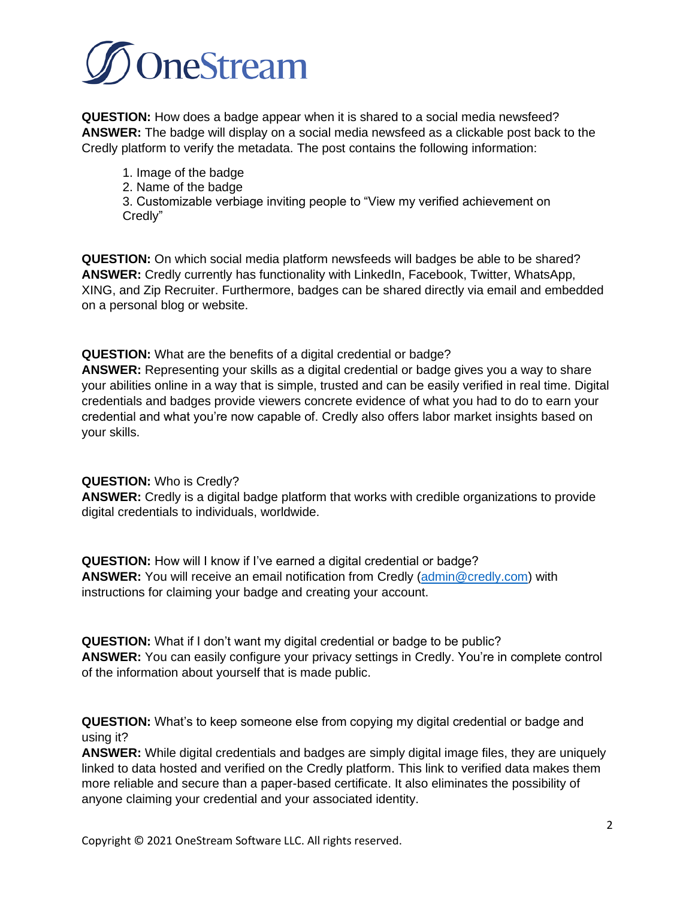

**QUESTION:** How does a badge appear when it is shared to a social media newsfeed? **ANSWER:** The badge will display on a social media newsfeed as a clickable post back to the Credly platform to verify the metadata. The post contains the following information:

- 1. Image of the badge
- 2. Name of the badge

3. Customizable verbiage inviting people to "View my verified achievement on Credly"

**QUESTION:** On which social media platform newsfeeds will badges be able to be shared? **ANSWER:** Credly currently has functionality with LinkedIn, Facebook, Twitter, WhatsApp, XING, and Zip Recruiter. Furthermore, badges can be shared directly via email and embedded on a personal blog or website.

**QUESTION:** What are the benefits of a digital credential or badge? **ANSWER:** Representing your skills as a digital credential or badge gives you a way to share your abilities online in a way that is simple, trusted and can be easily verified in real time. Digital credentials and badges provide viewers concrete evidence of what you had to do to earn your credential and what you're now capable of. Credly also offers labor market insights based on your skills.

## **QUESTION:** Who is Credly?

**ANSWER:** Credly is a digital badge platform that works with credible organizations to provide digital credentials to individuals, worldwide.

**QUESTION:** How will I know if I've earned a digital credential or badge? **ANSWER:** You will receive an email notification from Credly [\(admin@credly.com\)](mailto:admin@credly.com) with instructions for claiming your badge and creating your account.

**QUESTION:** What if I don't want my digital credential or badge to be public? **ANSWER:** You can easily configure your privacy settings in Credly. You're in complete control of the information about yourself that is made public.

**QUESTION:** What's to keep someone else from copying my digital credential or badge and using it?

**ANSWER:** While digital credentials and badges are simply digital image files, they are uniquely linked to data hosted and verified on the Credly platform. This link to verified data makes them more reliable and secure than a paper-based certificate. It also eliminates the possibility of anyone claiming your credential and your associated identity.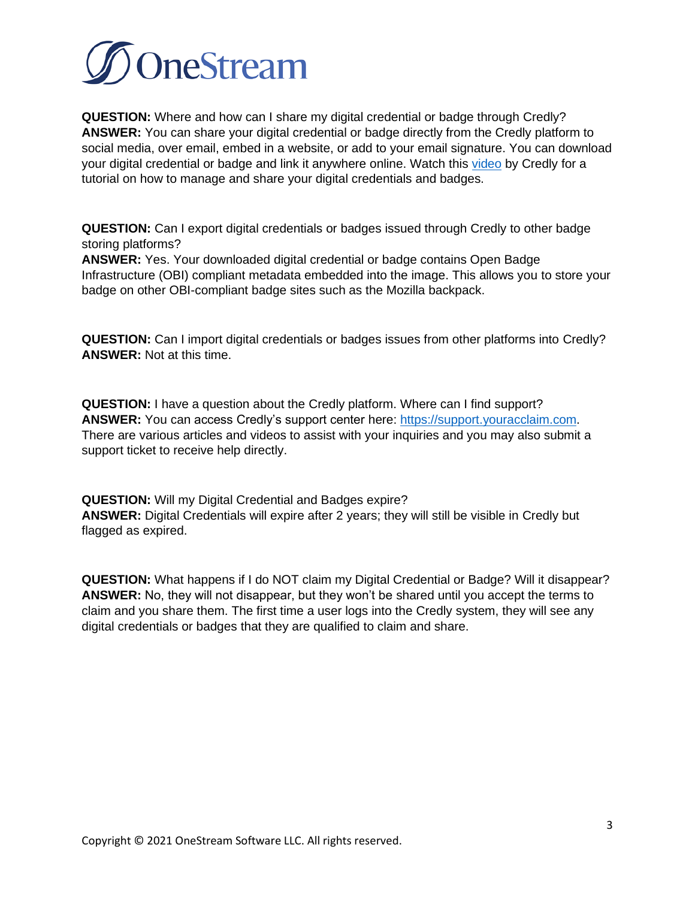

**QUESTION:** Where and how can I share my digital credential or badge through Credly? **ANSWER:** You can share your digital credential or badge directly from the Credly platform to social media, over email, embed in a website, or add to your email signature. You can download your digital credential or badge and link it anywhere online. Watch this [video](https://support.youracclaim.com/hc/en-us/articles/360021227651-Video-How-do-I-manage-and-share-my-Acclaim-badge-) by Credly for a tutorial on how to manage and share your digital credentials and badges.

**QUESTION:** Can I export digital credentials or badges issued through Credly to other badge storing platforms?

**ANSWER:** Yes. Your downloaded digital credential or badge contains Open Badge Infrastructure (OBI) compliant metadata embedded into the image. This allows you to store your badge on other OBI-compliant badge sites such as the Mozilla backpack.

**QUESTION:** Can I import digital credentials or badges issues from other platforms into Credly? **ANSWER:** Not at this time.

**QUESTION:** I have a question about the Credly platform. Where can I find support? **ANSWER:** You can access Credly's support center here: [https://support.youracclaim.com.](https://support.youracclaim.com/) There are various articles and videos to assist with your inquiries and you may also submit a support ticket to receive help directly.

**QUESTION:** Will my Digital Credential and Badges expire? **ANSWER:** Digital Credentials will expire after 2 years; they will still be visible in Credly but flagged as expired.

**QUESTION:** What happens if I do NOT claim my Digital Credential or Badge? Will it disappear? **ANSWER:** No, they will not disappear, but they won't be shared until you accept the terms to claim and you share them. The first time a user logs into the Credly system, they will see any digital credentials or badges that they are qualified to claim and share.